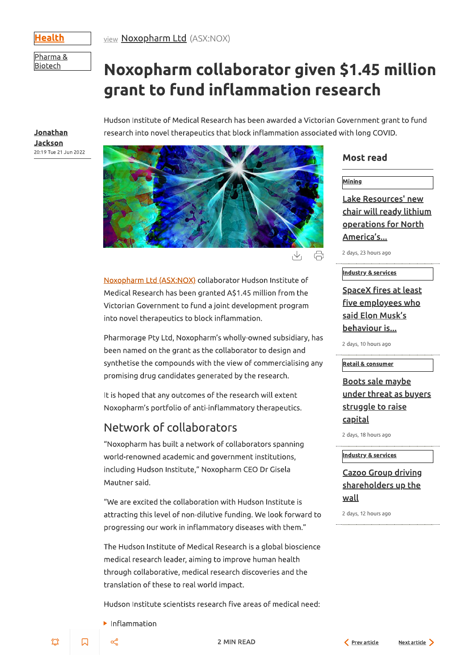Health

<u>view</u> **Noxopharm Ltd** (ASX:NOX)

Pharma & **Biotech** 

# Noxopharm collaborator given \$1.45 million grant to fund inflammation research

<u>Jonathan</u> Jackson 20:19 Tue 21 Jun 2022 Hudson Institute of Medical Research has been awarded a Victorian Government grant to fund research into novel therapeutics that block inflammation associated with long COVID.



 $\bigoplus$  $\sqrt{2}$ 

Noxopharm Ltd (ASX:NOX) collaborator Hudson Institute of Medical Research has been granted A\$1.45 million from the Victorian Government to fund a joint development program into novel therapeutics to block inflammation.

Pharmorage Pty Ltd, Noxopharm's wholly-owned subsidiary, has been named on the grant as the collaborator to design and synthetise the compounds with the view of commercialising any promising drug candidates generated by the research.

It is hoped that any outcomes of the research will extent Noxopharm's portfolio of anti-inflammatory therapeutics.

# Network of collaborators

"Noxopharm has built a network of collaborators spanning world-renowned academic and government institutions, including Hudson Institute," Noxopharm CEO Dr Gisela Mautner said.

"We are excited the collaboration with Hudson Institute is

## **Most read**

| <u>Mining</u> |  |  |
|---------------|--|--|
|               |  |  |

Lake Resources' new <u>chair will ready lithium</u> <u>operations for North</u> America's...

2 days, 23 hours ago

### Industry & services

<u>SpaceX fires at least</u> five employees who said Elon Musk's <u>behaviour is...</u>

2 days, 10 hours ago

#### **Retail & consumer**

## <u>Boots sale maybe</u> <u>under threat as buyers</u> <u>struggle to raise</u> <u>capital</u>

2 days, 18 hours ago

### Industry & services

## **Cazoo Group driving** shareholders up the <u>wall</u>

attracting this level of non-dilutive funding. We look forward to progressing our work in inflammatory diseases with them."

2 days, 12 hours ago

The Hudson Institute of Medical Research is a global bioscience medical research leader, aiming to improve human health through collaborative, medical research discoveries and the translation of these to real world impact.

Hudson Institute scientists research five areas of medical need:

 $\blacktriangleright$  Inflammation

 $\Box$ 

Ü

 $\propto$ 

**2 MIN READ** 



Next article >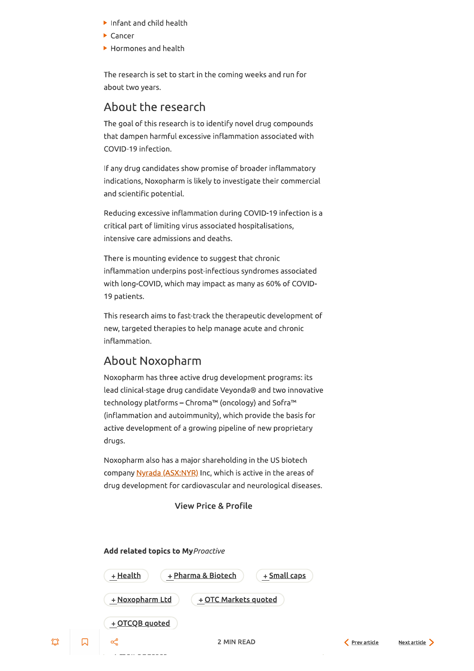- $\blacktriangleright$  Infant and child health
- $\blacktriangleright$  Cancer
- ▶ Hormones and health

The research is set to start in the coming weeks and run for about two years.

## About the research

The goal of this research is to identify novel drug compounds that dampen harmful excessive inflammation associated with COVID-19 infection.

If any drug candidates show promise of broader inflammatory indications, Noxopharm is likely to investigate their commercial and scientific potential.

Reducing excessive inflammation during COVID-19 infection is a critical part of limiting virus associated hospitalisations, intensive care admissions and deaths.

There is mounting evidence to suggest that chronic inflammation underpins post-infectious syndromes associated with long-COVID, which may impact as many as 60% of COVID-19 patients.

This research aims to fast-track the therapeutic development of new, targeted therapies to help manage acute and chronic inflammation.

## About Noxopharm

Noxopharm has three active drug development programs: its lead clinical-stage drug candidate Veyonda® and two innovative technology platforms – Chroma™ (oncology) and Sofra™ (inflammation and autoimmunity), which provide the basis for active development of a growing pipeline of new proprietary drugs.

Noxopharm also has a major shareholding in the US biotech company Nyrada (ASX:NYR) Inc, which is active in the areas of drug development for cardiovascular and neurological diseases.

### **View Price & Profile**

#### Add related topics to My Proactive

 $\mathfrak{D}$ 



Next article >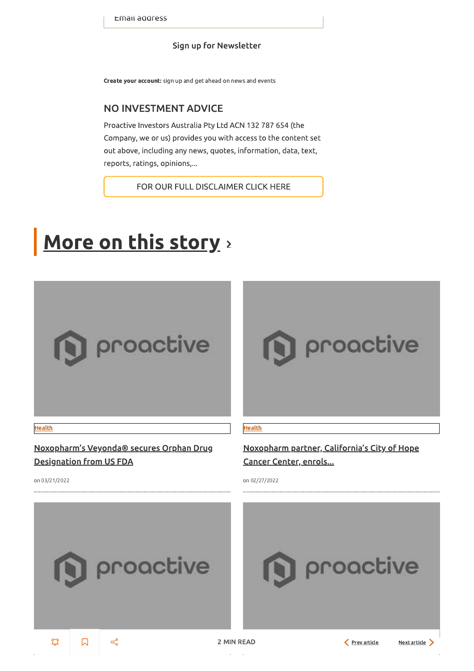## Sign up for Newsletter

Create your account: sign up and get ahead on news and events

## **NO INVESTMENT ADVICE**

Proactive Investors Australia Pty Ltd ACN 132 787 654 (the Company, we or us) provides you with access to the content set out above, including any news, quotes, information, data, text, reports, ratings, opinions,...

FOR OUR FULL DISCLAIMER CLICK HERE

# More on this story >



proactive

#### **Health**

Noxopharm's Veyonda® secures Orphan Drug **Designation from US FDA** 

on 03/21/2022

### **Health**

Noxopharm partner, California's City of Hope <u>Cancer Center, enrols...</u>

on 02/27/2022

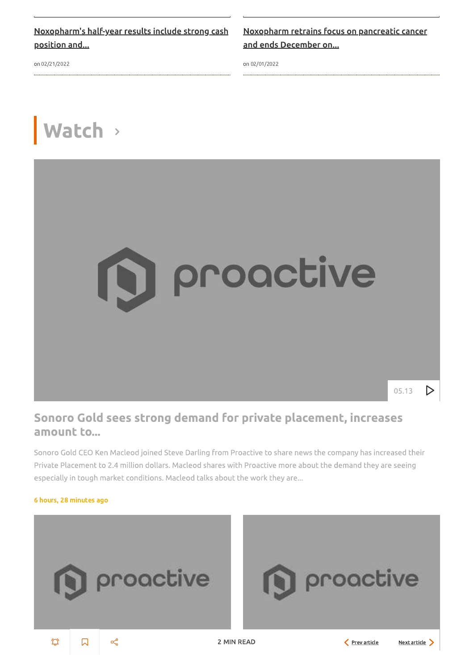Noxopharm's half-year results include strong cash position and...

on 02/21/2022

Noxopharm retrains focus on pancreatic cancer and ends December on...

on 02/01/2022

# Watch >



# Sonoro Gold sees strong demand for private placement, increases amount to...

Sonoro Gold CEO Ken Macleod joined Steve Darling from Proactive to share news the company has increased their Private Placement to 2.4 million dollars. Macleod shares with Proactive more about the demand they are seeing especially in tough market conditions. Macleod talks about the work they are...

### 6 hours, 28 minutes ago